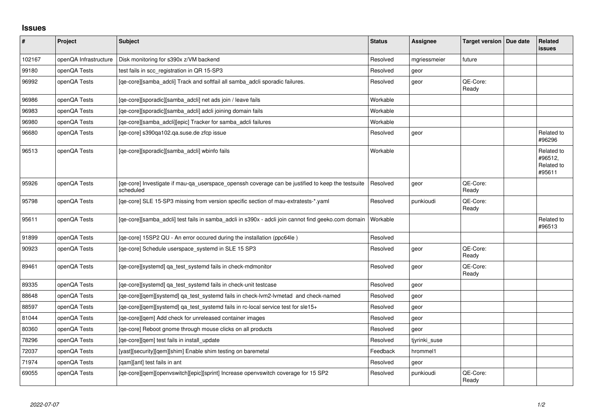## **Issues**

| $\vert$ # | Project               | <b>Subject</b>                                                                                                 | <b>Status</b> | <b>Assignee</b> | <b>Target version</b> | Due date | <b>Related</b><br><b>issues</b>               |
|-----------|-----------------------|----------------------------------------------------------------------------------------------------------------|---------------|-----------------|-----------------------|----------|-----------------------------------------------|
| 102167    | openQA Infrastructure | Disk monitoring for s390x z/VM backend                                                                         | Resolved      | mgriessmeier    | future                |          |                                               |
| 99180     | openQA Tests          | test fails in scc registration in QR 15-SP3                                                                    | Resolved      | geor            |                       |          |                                               |
| 96992     | openQA Tests          | [qe-core][samba_adcli] Track and softfail all samba_adcli sporadic failures.                                   | Resolved      | geor            | QE-Core:<br>Ready     |          |                                               |
| 96986     | openQA Tests          | [qe-core][sporadic][samba_adcli] net ads join / leave fails                                                    | Workable      |                 |                       |          |                                               |
| 96983     | openQA Tests          | [qe-core][sporadic][samba_adcli] adcli joining domain fails                                                    | Workable      |                 |                       |          |                                               |
| 96980     | openQA Tests          | [qe-core][samba_adcli][epic] Tracker for samba_adcli failures                                                  | Workable      |                 |                       |          |                                               |
| 96680     | openQA Tests          | [ge-core] s390ga102.ga.suse.de zfcp issue                                                                      | Resolved      | geor            |                       |          | Related to<br>#96296                          |
| 96513     | openQA Tests          | [qe-core][sporadic][samba_adcli] wbinfo fails                                                                  | Workable      |                 |                       |          | Related to<br>#96512,<br>Related to<br>#95611 |
| 95926     | openQA Tests          | [qe-core] Investigate if mau-qa_userspace_openssh coverage can be justified to keep the testsuite<br>scheduled | Resolved      | geor            | QE-Core:<br>Ready     |          |                                               |
| 95798     | openQA Tests          | [qe-core] SLE 15-SP3 missing from version specific section of mau-extratests-*.yaml                            | Resolved      | punkioudi       | QE-Core:<br>Ready     |          |                                               |
| 95611     | openQA Tests          | [qe-core][samba_adcli] test fails in samba_adcli in s390x - adcli join cannot find geeko.com domain            | Workable      |                 |                       |          | Related to<br>#96513                          |
| 91899     | openQA Tests          | [qe-core] 15SP2 QU - An error occured during the installation (ppc64le)                                        | Resolved      |                 |                       |          |                                               |
| 90923     | openQA Tests          | [qe-core] Schedule userspace_systemd in SLE 15 SP3                                                             | Resolved      | geor            | QE-Core:<br>Ready     |          |                                               |
| 89461     | openQA Tests          | [qe-core][systemd] qa_test_systemd fails in check-mdmonitor                                                    | Resolved      | geor            | QE-Core:<br>Ready     |          |                                               |
| 89335     | openQA Tests          | [qe-core][systemd] qa_test_systemd fails in check-unit testcase                                                | Resolved      | geor            |                       |          |                                               |
| 88648     | openQA Tests          | [ge-core][gem][systemd] ga test systemd fails in check-lym2-lymetad and check-named                            | Resolved      | geor            |                       |          |                                               |
| 88597     | openQA Tests          | [qe-core][qem][systemd] qa_test_systemd fails in rc-local service test for sle15+                              | Resolved      | geor            |                       |          |                                               |
| 81044     | openQA Tests          | [qe-core][qem] Add check for unreleased container images                                                       | Resolved      | geor            |                       |          |                                               |
| 80360     | openQA Tests          | [qe-core] Reboot gnome through mouse clicks on all products                                                    | Resolved      | geor            |                       |          |                                               |
| 78296     | openQA Tests          | [qe-core][qem] test fails in install_update                                                                    | Resolved      | tjyrinki suse   |                       |          |                                               |
| 72037     | openQA Tests          | [yast][security][qem][shim] Enable shim testing on baremetal                                                   | Feedback      | hrommel1        |                       |          |                                               |
| 71974     | openQA Tests          | [gam][ant] test fails in ant                                                                                   | Resolved      | geor            |                       |          |                                               |
| 69055     | openQA Tests          | [qe-core][qem][openvswitch][epic][sprint] Increase openvswitch coverage for 15 SP2                             | Resolved      | punkioudi       | QE-Core:<br>Ready     |          |                                               |